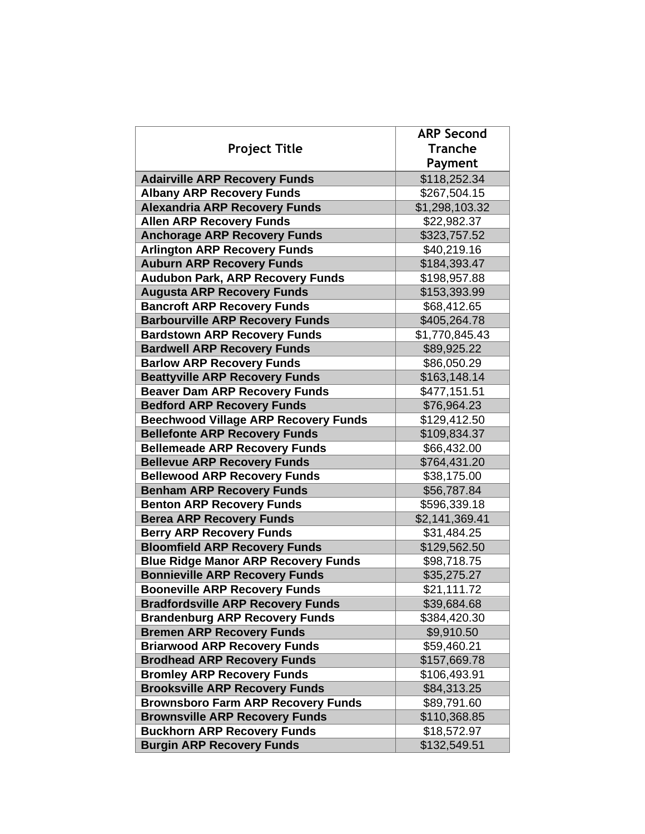|                                             | <b>ARP Second</b> |
|---------------------------------------------|-------------------|
| <b>Project Title</b>                        | <b>Tranche</b>    |
|                                             | Payment           |
| <b>Adairville ARP Recovery Funds</b>        | \$118,252.34      |
| <b>Albany ARP Recovery Funds</b>            | \$267,504.15      |
| <b>Alexandria ARP Recovery Funds</b>        | \$1,298,103.32    |
| <b>Allen ARP Recovery Funds</b>             | \$22,982.37       |
| <b>Anchorage ARP Recovery Funds</b>         | \$323,757.52      |
| <b>Arlington ARP Recovery Funds</b>         | \$40,219.16       |
| <b>Auburn ARP Recovery Funds</b>            | \$184,393.47      |
| <b>Audubon Park, ARP Recovery Funds</b>     | \$198,957.88      |
| <b>Augusta ARP Recovery Funds</b>           | \$153,393.99      |
| <b>Bancroft ARP Recovery Funds</b>          | \$68,412.65       |
| <b>Barbourville ARP Recovery Funds</b>      | \$405,264.78      |
| <b>Bardstown ARP Recovery Funds</b>         | \$1,770,845.43    |
| <b>Bardwell ARP Recovery Funds</b>          | \$89,925.22       |
| <b>Barlow ARP Recovery Funds</b>            | \$86,050.29       |
| <b>Beattyville ARP Recovery Funds</b>       | \$163,148.14      |
| <b>Beaver Dam ARP Recovery Funds</b>        | \$477,151.51      |
| <b>Bedford ARP Recovery Funds</b>           | \$76,964.23       |
| <b>Beechwood Village ARP Recovery Funds</b> | \$129,412.50      |
| <b>Bellefonte ARP Recovery Funds</b>        | \$109,834.37      |
| <b>Bellemeade ARP Recovery Funds</b>        | \$66,432.00       |
| <b>Bellevue ARP Recovery Funds</b>          | \$764,431.20      |
| <b>Bellewood ARP Recovery Funds</b>         | \$38,175.00       |
| <b>Benham ARP Recovery Funds</b>            | \$56,787.84       |
| <b>Benton ARP Recovery Funds</b>            | \$596,339.18      |
| <b>Berea ARP Recovery Funds</b>             | \$2,141,369.41    |
| <b>Berry ARP Recovery Funds</b>             | \$31,484.25       |
| <b>Bloomfield ARP Recovery Funds</b>        | \$129,562.50      |
| <b>Blue Ridge Manor ARP Recovery Funds</b>  | \$98,718.75       |
| <b>Bonnieville ARP Recovery Funds</b>       | \$35,275.27       |
| <b>Booneville ARP Recovery Funds</b>        | \$21,111.72       |
| <b>Bradfordsville ARP Recovery Funds</b>    | \$39,684.68       |
| <b>Brandenburg ARP Recovery Funds</b>       | \$384,420.30      |
| <b>Bremen ARP Recovery Funds</b>            | \$9,910.50        |
| <b>Briarwood ARP Recovery Funds</b>         | \$59,460.21       |
| <b>Brodhead ARP Recovery Funds</b>          | \$157,669.78      |
| <b>Bromley ARP Recovery Funds</b>           | \$106,493.91      |
| <b>Brooksville ARP Recovery Funds</b>       | \$84,313.25       |
| <b>Brownsboro Farm ARP Recovery Funds</b>   | \$89,791.60       |
| <b>Brownsville ARP Recovery Funds</b>       | \$110,368.85      |
| <b>Buckhorn ARP Recovery Funds</b>          | \$18,572.97       |
| <b>Burgin ARP Recovery Funds</b>            | \$132,549.51      |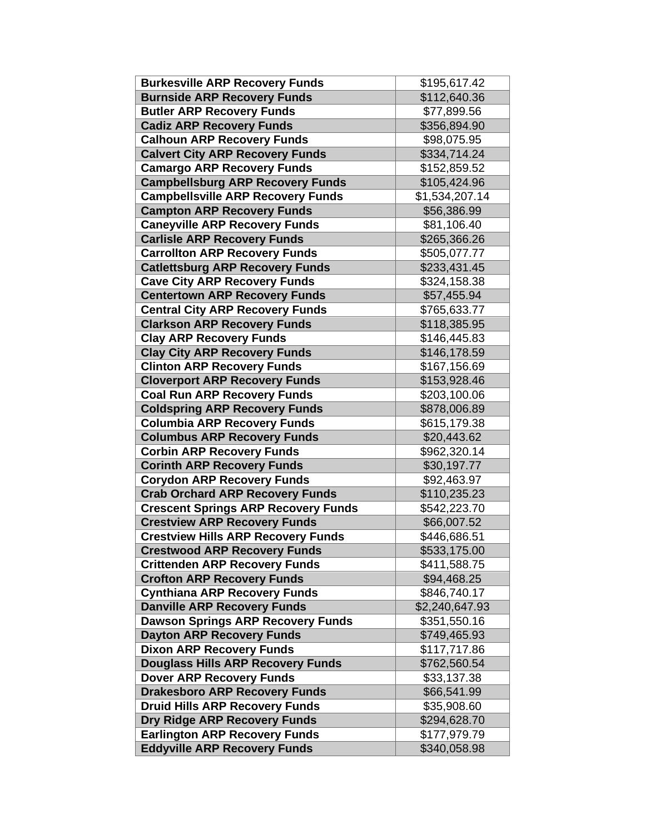| <b>Burkesville ARP Recovery Funds</b>      | \$195,617.42   |
|--------------------------------------------|----------------|
| <b>Burnside ARP Recovery Funds</b>         | \$112,640.36   |
| <b>Butler ARP Recovery Funds</b>           | \$77,899.56    |
| <b>Cadiz ARP Recovery Funds</b>            | \$356,894.90   |
| <b>Calhoun ARP Recovery Funds</b>          | \$98,075.95    |
| <b>Calvert City ARP Recovery Funds</b>     | \$334,714.24   |
| <b>Camargo ARP Recovery Funds</b>          | \$152,859.52   |
| <b>Campbellsburg ARP Recovery Funds</b>    | \$105,424.96   |
| <b>Campbellsville ARP Recovery Funds</b>   | \$1,534,207.14 |
| <b>Campton ARP Recovery Funds</b>          | \$56,386.99    |
| <b>Caneyville ARP Recovery Funds</b>       | \$81,106.40    |
| <b>Carlisle ARP Recovery Funds</b>         | \$265,366.26   |
| <b>Carrollton ARP Recovery Funds</b>       | \$505,077.77   |
| <b>Catlettsburg ARP Recovery Funds</b>     | \$233,431.45   |
| <b>Cave City ARP Recovery Funds</b>        | \$324,158.38   |
| <b>Centertown ARP Recovery Funds</b>       | \$57,455.94    |
| <b>Central City ARP Recovery Funds</b>     | \$765,633.77   |
| <b>Clarkson ARP Recovery Funds</b>         | \$118,385.95   |
| <b>Clay ARP Recovery Funds</b>             | \$146,445.83   |
| <b>Clay City ARP Recovery Funds</b>        | \$146,178.59   |
| <b>Clinton ARP Recovery Funds</b>          | \$167,156.69   |
| <b>Cloverport ARP Recovery Funds</b>       | \$153,928.46   |
| <b>Coal Run ARP Recovery Funds</b>         | \$203,100.06   |
| <b>Coldspring ARP Recovery Funds</b>       | \$878,006.89   |
| <b>Columbia ARP Recovery Funds</b>         | \$615,179.38   |
| <b>Columbus ARP Recovery Funds</b>         | \$20,443.62    |
| <b>Corbin ARP Recovery Funds</b>           | \$962,320.14   |
| <b>Corinth ARP Recovery Funds</b>          | \$30,197.77    |
| <b>Corydon ARP Recovery Funds</b>          | \$92,463.97    |
| <b>Crab Orchard ARP Recovery Funds</b>     | \$110,235.23   |
| <b>Crescent Springs ARP Recovery Funds</b> | \$542,223.70   |
| <b>Crestview ARP Recovery Funds</b>        | \$66,007.52    |
| <b>Crestview Hills ARP Recovery Funds</b>  | \$446,686.51   |
| <b>Crestwood ARP Recovery Funds</b>        | \$533,175.00   |
| <b>Crittenden ARP Recovery Funds</b>       | \$411,588.75   |
| <b>Crofton ARP Recovery Funds</b>          | \$94,468.25    |
| <b>Cynthiana ARP Recovery Funds</b>        | \$846,740.17   |
| <b>Danville ARP Recovery Funds</b>         | \$2,240,647.93 |
| <b>Dawson Springs ARP Recovery Funds</b>   | \$351,550.16   |
| <b>Dayton ARP Recovery Funds</b>           | \$749,465.93   |
| <b>Dixon ARP Recovery Funds</b>            | \$117,717.86   |
| <b>Douglass Hills ARP Recovery Funds</b>   | \$762,560.54   |
| <b>Dover ARP Recovery Funds</b>            | \$33,137.38    |
| <b>Drakesboro ARP Recovery Funds</b>       | \$66,541.99    |
| <b>Druid Hills ARP Recovery Funds</b>      | \$35,908.60    |
| <b>Dry Ridge ARP Recovery Funds</b>        | \$294,628.70   |
| <b>Earlington ARP Recovery Funds</b>       | \$177,979.79   |
| <b>Eddyville ARP Recovery Funds</b>        | \$340,058.98   |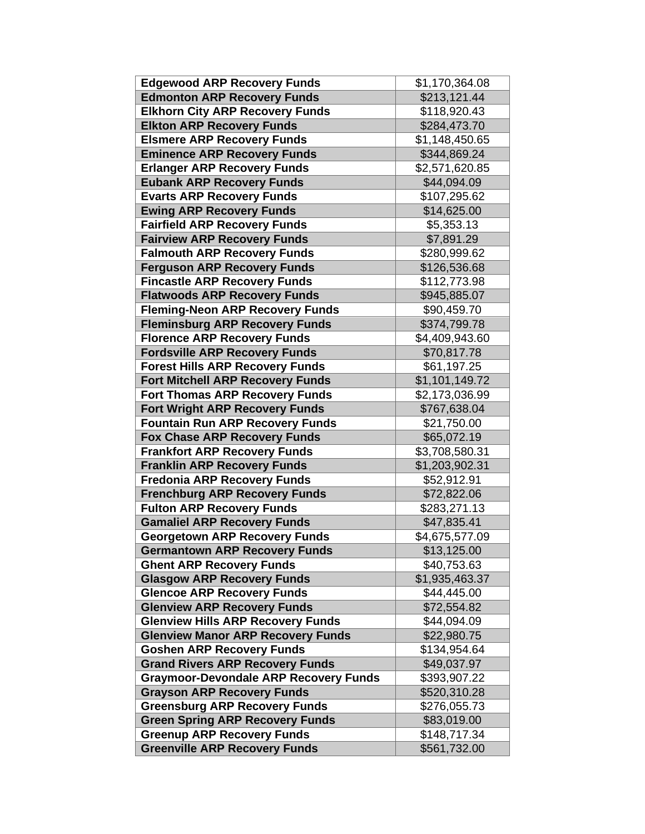| <b>Edgewood ARP Recovery Funds</b>                                                     | \$1,170,364.08              |
|----------------------------------------------------------------------------------------|-----------------------------|
| <b>Edmonton ARP Recovery Funds</b>                                                     | \$213,121.44                |
| <b>Elkhorn City ARP Recovery Funds</b>                                                 | \$118,920.43                |
| <b>Elkton ARP Recovery Funds</b>                                                       | \$284,473.70                |
| <b>Elsmere ARP Recovery Funds</b>                                                      | \$1,148,450.65              |
| <b>Eminence ARP Recovery Funds</b>                                                     | \$344,869.24                |
| <b>Erlanger ARP Recovery Funds</b>                                                     | \$2,571,620.85              |
| <b>Eubank ARP Recovery Funds</b>                                                       | \$44,094.09                 |
| <b>Evarts ARP Recovery Funds</b>                                                       | \$107,295.62                |
| <b>Ewing ARP Recovery Funds</b>                                                        | \$14,625.00                 |
| <b>Fairfield ARP Recovery Funds</b>                                                    | \$5,353.13                  |
| <b>Fairview ARP Recovery Funds</b>                                                     | \$7,891.29                  |
| <b>Falmouth ARP Recovery Funds</b>                                                     | \$280,999.62                |
| <b>Ferguson ARP Recovery Funds</b>                                                     | \$126,536.68                |
| <b>Fincastle ARP Recovery Funds</b>                                                    | \$112,773.98                |
| <b>Flatwoods ARP Recovery Funds</b>                                                    | \$945,885.07                |
| <b>Fleming-Neon ARP Recovery Funds</b>                                                 | \$90,459.70                 |
| <b>Fleminsburg ARP Recovery Funds</b>                                                  | \$374,799.78                |
| <b>Florence ARP Recovery Funds</b>                                                     | \$4,409,943.60              |
| <b>Fordsville ARP Recovery Funds</b>                                                   | \$70,817.78                 |
| <b>Forest Hills ARP Recovery Funds</b>                                                 | \$61,197.25                 |
| <b>Fort Mitchell ARP Recovery Funds</b>                                                | \$1,101,149.72              |
| <b>Fort Thomas ARP Recovery Funds</b>                                                  | \$2,173,036.99              |
| <b>Fort Wright ARP Recovery Funds</b>                                                  | \$767,638.04                |
| <b>Fountain Run ARP Recovery Funds</b>                                                 | \$21,750.00                 |
| <b>Fox Chase ARP Recovery Funds</b>                                                    | \$65,072.19                 |
| <b>Frankfort ARP Recovery Funds</b>                                                    | \$3,708,580.31              |
| <b>Franklin ARP Recovery Funds</b>                                                     | \$1,203,902.31              |
| <b>Fredonia ARP Recovery Funds</b>                                                     | \$52,912.91                 |
| <b>Frenchburg ARP Recovery Funds</b>                                                   | \$72,822.06                 |
| <b>Fulton ARP Recovery Funds</b>                                                       | \$283,271.13                |
| <b>Gamaliel ARP Recovery Funds</b>                                                     | \$47,835.41                 |
| <b>Georgetown ARP Recovery Funds</b>                                                   | \$4,675,577.09              |
| <b>Germantown ARP Recovery Funds</b>                                                   | \$13,125.00                 |
| <b>Ghent ARP Recovery Funds</b>                                                        | \$40,753.63                 |
| <b>Glasgow ARP Recovery Funds</b>                                                      | \$1,935,463.37              |
| <b>Glencoe ARP Recovery Funds</b>                                                      | \$44,445.00                 |
| <b>Glenview ARP Recovery Funds</b>                                                     | \$72,554.82                 |
| <b>Glenview Hills ARP Recovery Funds</b>                                               | \$44,094.09                 |
| <b>Glenview Manor ARP Recovery Funds</b>                                               | \$22,980.75                 |
| <b>Goshen ARP Recovery Funds</b>                                                       | \$134,954.64                |
| <b>Grand Rivers ARP Recovery Funds</b><br><b>Graymoor-Devondale ARP Recovery Funds</b> | \$49,037.97<br>\$393,907.22 |
| <b>Grayson ARP Recovery Funds</b>                                                      | \$520,310.28                |
| <b>Greensburg ARP Recovery Funds</b>                                                   | \$276,055.73                |
| <b>Green Spring ARP Recovery Funds</b>                                                 | \$83,019.00                 |
| <b>Greenup ARP Recovery Funds</b>                                                      | \$148,717.34                |
| <b>Greenville ARP Recovery Funds</b>                                                   | \$561,732.00                |
|                                                                                        |                             |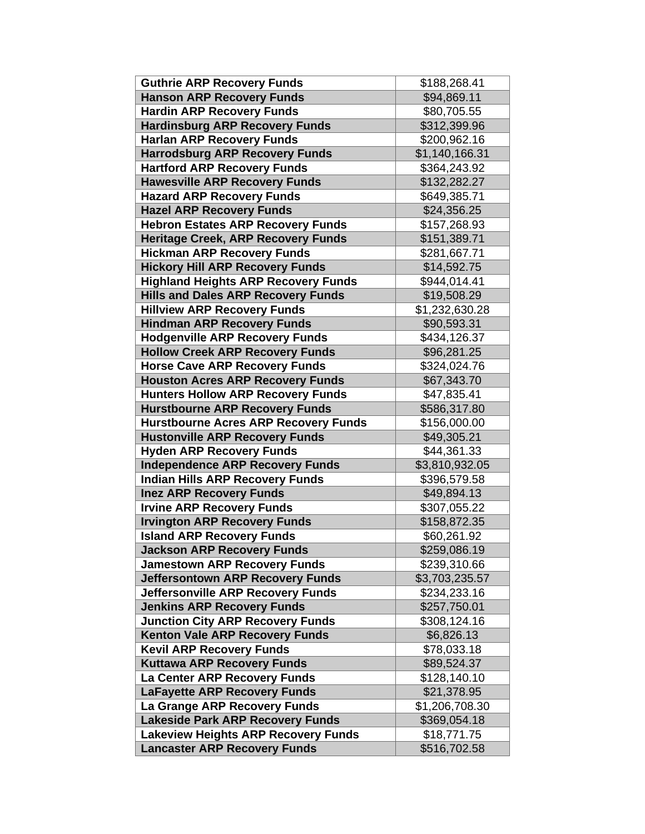| <b>Guthrie ARP Recovery Funds</b>           | \$188,268.41   |
|---------------------------------------------|----------------|
| <b>Hanson ARP Recovery Funds</b>            | \$94,869.11    |
| <b>Hardin ARP Recovery Funds</b>            | \$80,705.55    |
| <b>Hardinsburg ARP Recovery Funds</b>       | \$312,399.96   |
| <b>Harlan ARP Recovery Funds</b>            | \$200,962.16   |
| <b>Harrodsburg ARP Recovery Funds</b>       | \$1,140,166.31 |
| <b>Hartford ARP Recovery Funds</b>          | \$364,243.92   |
| <b>Hawesville ARP Recovery Funds</b>        | \$132,282.27   |
| <b>Hazard ARP Recovery Funds</b>            | \$649,385.71   |
| <b>Hazel ARP Recovery Funds</b>             | \$24,356.25    |
| <b>Hebron Estates ARP Recovery Funds</b>    | \$157,268.93   |
| <b>Heritage Creek, ARP Recovery Funds</b>   | \$151,389.71   |
| <b>Hickman ARP Recovery Funds</b>           | \$281,667.71   |
| <b>Hickory Hill ARP Recovery Funds</b>      | \$14,592.75    |
| <b>Highland Heights ARP Recovery Funds</b>  | \$944,014.41   |
| <b>Hills and Dales ARP Recovery Funds</b>   | \$19,508.29    |
| <b>Hillview ARP Recovery Funds</b>          | \$1,232,630.28 |
| <b>Hindman ARP Recovery Funds</b>           | \$90,593.31    |
| <b>Hodgenville ARP Recovery Funds</b>       | \$434,126.37   |
| <b>Hollow Creek ARP Recovery Funds</b>      | \$96,281.25    |
| <b>Horse Cave ARP Recovery Funds</b>        | \$324,024.76   |
| <b>Houston Acres ARP Recovery Funds</b>     | \$67,343.70    |
| <b>Hunters Hollow ARP Recovery Funds</b>    | \$47,835.41    |
| <b>Hurstbourne ARP Recovery Funds</b>       | \$586,317.80   |
| <b>Hurstbourne Acres ARP Recovery Funds</b> | \$156,000.00   |
| <b>Hustonville ARP Recovery Funds</b>       | \$49,305.21    |
| <b>Hyden ARP Recovery Funds</b>             | \$44,361.33    |
| <b>Independence ARP Recovery Funds</b>      | \$3,810,932.05 |
| <b>Indian Hills ARP Recovery Funds</b>      | \$396,579.58   |
| <b>Inez ARP Recovery Funds</b>              | \$49,894.13    |
| <b>Irvine ARP Recovery Funds</b>            | \$307,055.22   |
| <b>Irvington ARP Recovery Funds</b>         | \$158,872.35   |
| <b>Island ARP Recovery Funds</b>            | \$60,261.92    |
| <b>Jackson ARP Recovery Funds</b>           | \$259,086.19   |
| <b>Jamestown ARP Recovery Funds</b>         | \$239,310.66   |
| <b>Jeffersontown ARP Recovery Funds</b>     | \$3,703,235.57 |
| <b>Jeffersonville ARP Recovery Funds</b>    | \$234,233.16   |
| <b>Jenkins ARP Recovery Funds</b>           | \$257,750.01   |
| <b>Junction City ARP Recovery Funds</b>     | \$308,124.16   |
| <b>Kenton Vale ARP Recovery Funds</b>       | \$6,826.13     |
| <b>Kevil ARP Recovery Funds</b>             | \$78,033.18    |
| <b>Kuttawa ARP Recovery Funds</b>           | \$89,524.37    |
| La Center ARP Recovery Funds                | \$128,140.10   |
| <b>LaFayette ARP Recovery Funds</b>         | \$21,378.95    |
| La Grange ARP Recovery Funds                | \$1,206,708.30 |
| <b>Lakeside Park ARP Recovery Funds</b>     | \$369,054.18   |
| <b>Lakeview Heights ARP Recovery Funds</b>  | \$18,771.75    |
| <b>Lancaster ARP Recovery Funds</b>         | \$516,702.58   |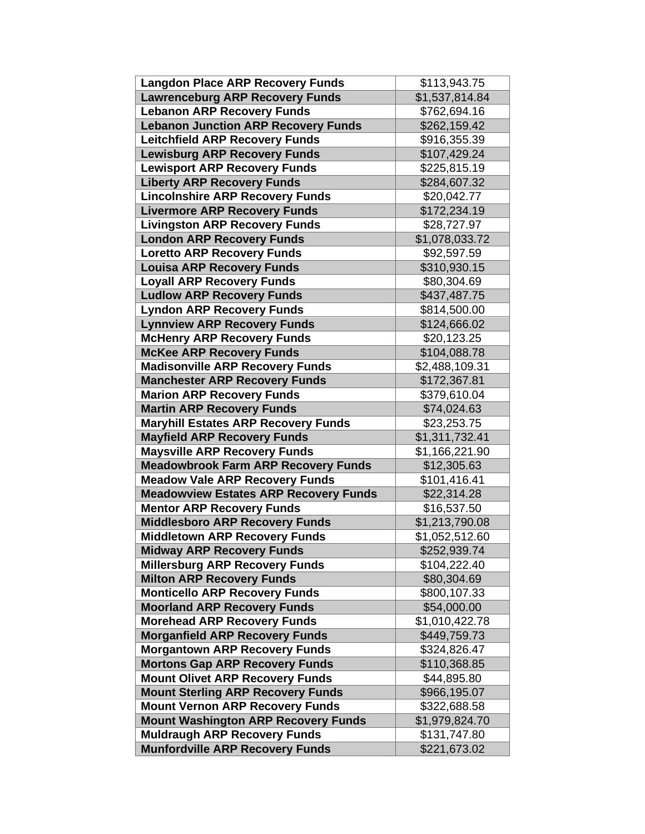| <b>Langdon Place ARP Recovery Funds</b>      | \$113,943.75   |
|----------------------------------------------|----------------|
| <b>Lawrenceburg ARP Recovery Funds</b>       | \$1,537,814.84 |
| <b>Lebanon ARP Recovery Funds</b>            | \$762,694.16   |
| <b>Lebanon Junction ARP Recovery Funds</b>   | \$262,159.42   |
| <b>Leitchfield ARP Recovery Funds</b>        | \$916,355.39   |
| <b>Lewisburg ARP Recovery Funds</b>          | \$107,429.24   |
| <b>Lewisport ARP Recovery Funds</b>          | \$225,815.19   |
| <b>Liberty ARP Recovery Funds</b>            | \$284,607.32   |
| <b>Lincolnshire ARP Recovery Funds</b>       | \$20,042.77    |
| <b>Livermore ARP Recovery Funds</b>          | \$172,234.19   |
| <b>Livingston ARP Recovery Funds</b>         | \$28,727.97    |
| <b>London ARP Recovery Funds</b>             | \$1,078,033.72 |
| <b>Loretto ARP Recovery Funds</b>            | \$92,597.59    |
| <b>Louisa ARP Recovery Funds</b>             | \$310,930.15   |
| <b>Loyall ARP Recovery Funds</b>             | \$80,304.69    |
| <b>Ludlow ARP Recovery Funds</b>             | \$437,487.75   |
| <b>Lyndon ARP Recovery Funds</b>             | \$814,500.00   |
| <b>Lynnview ARP Recovery Funds</b>           | \$124,666.02   |
| <b>McHenry ARP Recovery Funds</b>            | \$20,123.25    |
| <b>McKee ARP Recovery Funds</b>              | \$104,088.78   |
| <b>Madisonville ARP Recovery Funds</b>       | \$2,488,109.31 |
| <b>Manchester ARP Recovery Funds</b>         | \$172,367.81   |
| <b>Marion ARP Recovery Funds</b>             | \$379,610.04   |
| <b>Martin ARP Recovery Funds</b>             | \$74,024.63    |
| <b>Maryhill Estates ARP Recovery Funds</b>   | \$23,253.75    |
| <b>Mayfield ARP Recovery Funds</b>           | \$1,311,732.41 |
| <b>Maysville ARP Recovery Funds</b>          | \$1,166,221.90 |
| <b>Meadowbrook Farm ARP Recovery Funds</b>   | \$12,305.63    |
| <b>Meadow Vale ARP Recovery Funds</b>        | \$101,416.41   |
| <b>Meadowview Estates ARP Recovery Funds</b> | \$22,314.28    |
| <b>Mentor ARP Recovery Funds</b>             | \$16,537.50    |
| <b>Middlesboro ARP Recovery Funds</b>        | \$1,213,790.08 |
| <b>Middletown ARP Recovery Funds</b>         | \$1,052,512.60 |
| <b>Midway ARP Recovery Funds</b>             | \$252,939.74   |
| <b>Millersburg ARP Recovery Funds</b>        | \$104,222.40   |
| <b>Milton ARP Recovery Funds</b>             | \$80,304.69    |
| <b>Monticello ARP Recovery Funds</b>         | \$800,107.33   |
| <b>Moorland ARP Recovery Funds</b>           | \$54,000.00    |
| <b>Morehead ARP Recovery Funds</b>           | \$1,010,422.78 |
| <b>Morganfield ARP Recovery Funds</b>        | \$449,759.73   |
| <b>Morgantown ARP Recovery Funds</b>         | \$324,826.47   |
| <b>Mortons Gap ARP Recovery Funds</b>        | \$110,368.85   |
| <b>Mount Olivet ARP Recovery Funds</b>       | \$44,895.80    |
| <b>Mount Sterling ARP Recovery Funds</b>     | \$966,195.07   |
| <b>Mount Vernon ARP Recovery Funds</b>       | \$322,688.58   |
| <b>Mount Washington ARP Recovery Funds</b>   | \$1,979,824.70 |
| <b>Muldraugh ARP Recovery Funds</b>          | \$131,747.80   |
| <b>Munfordville ARP Recovery Funds</b>       | \$221,673.02   |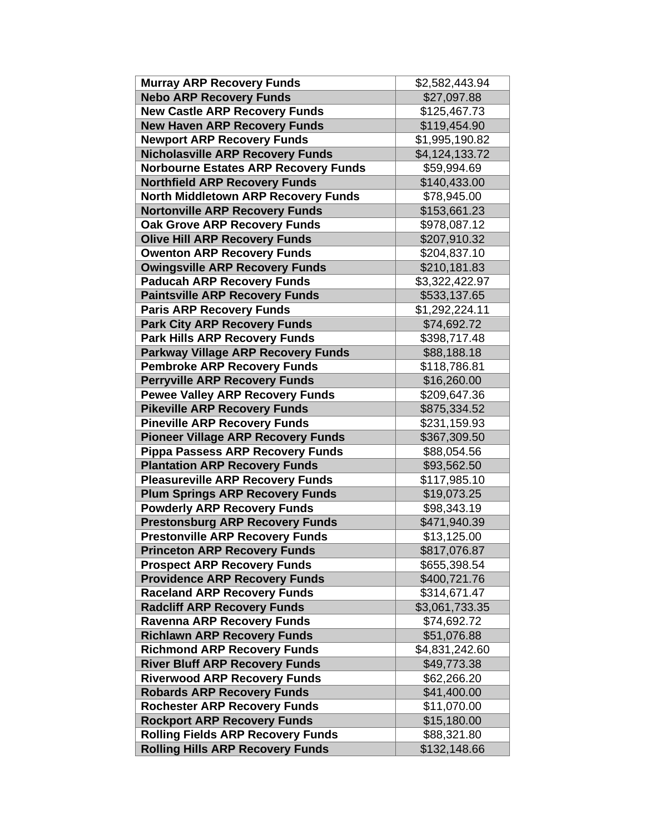| <b>Murray ARP Recovery Funds</b>            | \$2,582,443.94             |
|---------------------------------------------|----------------------------|
| <b>Nebo ARP Recovery Funds</b>              | \$27,097.88                |
| <b>New Castle ARP Recovery Funds</b>        | \$125,467.73               |
| <b>New Haven ARP Recovery Funds</b>         | \$119,454.90               |
| <b>Newport ARP Recovery Funds</b>           | \$1,995,190.82             |
| <b>Nicholasville ARP Recovery Funds</b>     | \$4,124,133.72             |
| <b>Norbourne Estates ARP Recovery Funds</b> | \$59,994.69                |
| <b>Northfield ARP Recovery Funds</b>        | \$140,433.00               |
| <b>North Middletown ARP Recovery Funds</b>  | \$78,945.00                |
| <b>Nortonville ARP Recovery Funds</b>       | \$153,661.23               |
| <b>Oak Grove ARP Recovery Funds</b>         | \$978,087.12               |
| <b>Olive Hill ARP Recovery Funds</b>        | \$207,910.32               |
| <b>Owenton ARP Recovery Funds</b>           | \$204,837.10               |
| <b>Owingsville ARP Recovery Funds</b>       | \$210,181.83               |
| <b>Paducah ARP Recovery Funds</b>           | $\overline{33,322,422.97}$ |
| <b>Paintsville ARP Recovery Funds</b>       | \$533,137.65               |
| <b>Paris ARP Recovery Funds</b>             | \$1,292,224.11             |
| <b>Park City ARP Recovery Funds</b>         | \$74,692.72                |
| <b>Park Hills ARP Recovery Funds</b>        | \$398,717.48               |
| <b>Parkway Village ARP Recovery Funds</b>   | \$88,188.18                |
| <b>Pembroke ARP Recovery Funds</b>          | \$118,786.81               |
| <b>Perryville ARP Recovery Funds</b>        | \$16,260.00                |
| <b>Pewee Valley ARP Recovery Funds</b>      | \$209,647.36               |
| <b>Pikeville ARP Recovery Funds</b>         | \$875,334.52               |
| <b>Pineville ARP Recovery Funds</b>         | \$231,159.93               |
| <b>Pioneer Village ARP Recovery Funds</b>   | \$367,309.50               |
| <b>Pippa Passess ARP Recovery Funds</b>     | \$88,054.56                |
| <b>Plantation ARP Recovery Funds</b>        | \$93,562.50                |
| <b>Pleasureville ARP Recovery Funds</b>     | \$117,985.10               |
| <b>Plum Springs ARP Recovery Funds</b>      | \$19,073.25                |
| <b>Powderly ARP Recovery Funds</b>          | \$98,343.19                |
| <b>Prestonsburg ARP Recovery Funds</b>      | \$471,940.39               |
| <b>Prestonville ARP Recovery Funds</b>      | \$13,125.00                |
| <b>Princeton ARP Recovery Funds</b>         | \$817,076.87               |
| <b>Prospect ARP Recovery Funds</b>          | \$655,398.54               |
| <b>Providence ARP Recovery Funds</b>        | \$400,721.76               |
| <b>Raceland ARP Recovery Funds</b>          | \$314,671.47               |
| <b>Radcliff ARP Recovery Funds</b>          | \$3,061,733.35             |
| <b>Ravenna ARP Recovery Funds</b>           | \$74,692.72                |
| <b>Richlawn ARP Recovery Funds</b>          | \$51,076.88                |
| <b>Richmond ARP Recovery Funds</b>          | \$4,831,242.60             |
| <b>River Bluff ARP Recovery Funds</b>       | \$49,773.38                |
| <b>Riverwood ARP Recovery Funds</b>         | \$62,266.20                |
| <b>Robards ARP Recovery Funds</b>           | \$41,400.00                |
| <b>Rochester ARP Recovery Funds</b>         | \$11,070.00                |
| <b>Rockport ARP Recovery Funds</b>          | \$15,180.00                |
| <b>Rolling Fields ARP Recovery Funds</b>    | \$88,321.80                |
| <b>Rolling Hills ARP Recovery Funds</b>     | \$132,148.66               |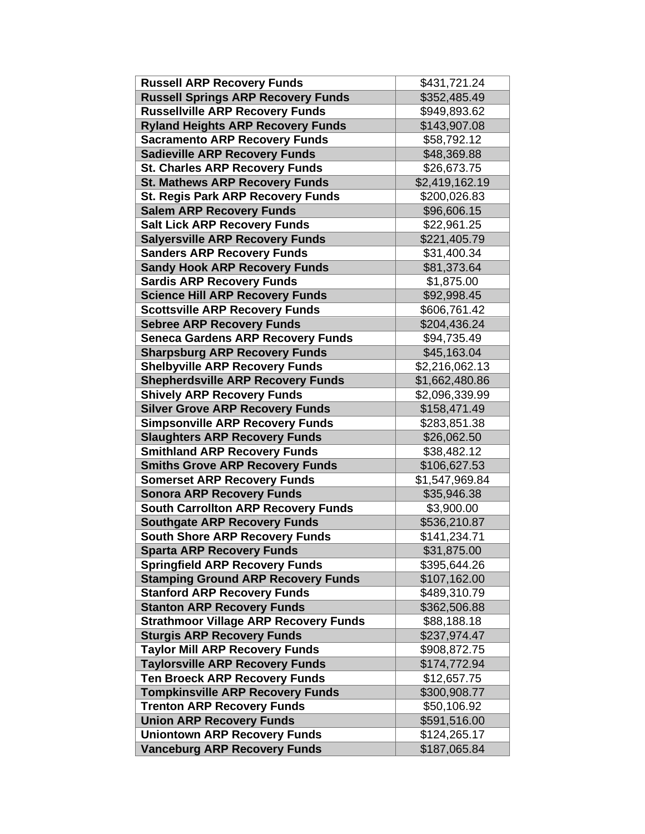| <b>Russell ARP Recovery Funds</b>            | \$431,721.24   |
|----------------------------------------------|----------------|
| <b>Russell Springs ARP Recovery Funds</b>    | \$352,485.49   |
| <b>Russellville ARP Recovery Funds</b>       | \$949,893.62   |
| <b>Ryland Heights ARP Recovery Funds</b>     | \$143,907.08   |
| <b>Sacramento ARP Recovery Funds</b>         | \$58,792.12    |
| <b>Sadieville ARP Recovery Funds</b>         | \$48,369.88    |
| <b>St. Charles ARP Recovery Funds</b>        | \$26,673.75    |
| <b>St. Mathews ARP Recovery Funds</b>        | \$2,419,162.19 |
| <b>St. Regis Park ARP Recovery Funds</b>     | \$200,026.83   |
| <b>Salem ARP Recovery Funds</b>              | \$96,606.15    |
| <b>Salt Lick ARP Recovery Funds</b>          | \$22,961.25    |
| <b>Salyersville ARP Recovery Funds</b>       | \$221,405.79   |
| <b>Sanders ARP Recovery Funds</b>            | \$31,400.34    |
| <b>Sandy Hook ARP Recovery Funds</b>         | \$81,373.64    |
| <b>Sardis ARP Recovery Funds</b>             | \$1,875.00     |
| <b>Science Hill ARP Recovery Funds</b>       | \$92,998.45    |
| <b>Scottsville ARP Recovery Funds</b>        | \$606,761.42   |
| <b>Sebree ARP Recovery Funds</b>             | \$204,436.24   |
| <b>Seneca Gardens ARP Recovery Funds</b>     | \$94,735.49    |
| <b>Sharpsburg ARP Recovery Funds</b>         | \$45,163.04    |
| <b>Shelbyville ARP Recovery Funds</b>        | \$2,216,062.13 |
| <b>Shepherdsville ARP Recovery Funds</b>     | \$1,662,480.86 |
| <b>Shively ARP Recovery Funds</b>            | \$2,096,339.99 |
| <b>Silver Grove ARP Recovery Funds</b>       | \$158,471.49   |
| <b>Simpsonville ARP Recovery Funds</b>       | \$283,851.38   |
| <b>Slaughters ARP Recovery Funds</b>         | \$26,062.50    |
| <b>Smithland ARP Recovery Funds</b>          | \$38,482.12    |
| <b>Smiths Grove ARP Recovery Funds</b>       | \$106,627.53   |
| <b>Somerset ARP Recovery Funds</b>           | \$1,547,969.84 |
| <b>Sonora ARP Recovery Funds</b>             | \$35,946.38    |
| <b>South Carrollton ARP Recovery Funds</b>   | \$3,900.00     |
| <b>Southgate ARP Recovery Funds</b>          | \$536,210.87   |
| <b>South Shore ARP Recovery Funds</b>        | \$141,234.71   |
| <b>Sparta ARP Recovery Funds</b>             | \$31,875.00    |
| <b>Springfield ARP Recovery Funds</b>        | \$395,644.26   |
| <b>Stamping Ground ARP Recovery Funds</b>    | \$107,162.00   |
| <b>Stanford ARP Recovery Funds</b>           | \$489,310.79   |
| <b>Stanton ARP Recovery Funds</b>            | \$362,506.88   |
| <b>Strathmoor Village ARP Recovery Funds</b> | \$88,188.18    |
| <b>Sturgis ARP Recovery Funds</b>            | \$237,974.47   |
| <b>Taylor Mill ARP Recovery Funds</b>        | \$908,872.75   |
| <b>Taylorsville ARP Recovery Funds</b>       | \$174,772.94   |
| <b>Ten Broeck ARP Recovery Funds</b>         | \$12,657.75    |
| <b>Tompkinsville ARP Recovery Funds</b>      | \$300,908.77   |
| <b>Trenton ARP Recovery Funds</b>            | \$50,106.92    |
| <b>Union ARP Recovery Funds</b>              | \$591,516.00   |
| <b>Uniontown ARP Recovery Funds</b>          | \$124,265.17   |
| <b>Vanceburg ARP Recovery Funds</b>          | \$187,065.84   |